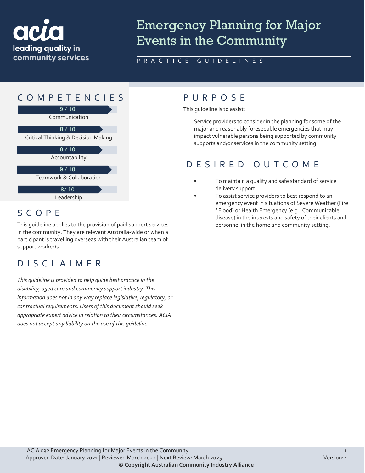

# Emergency Planning for Major Events in the Community

#### PRACTICE GUIDELINES



## SCOPE

This guideline applies to the provision of paid support services in the community. They are relevant Australia-wide or when a participant is travelling overseas with their Australian team of support worker/s.

## DISCLAIMER

*This guideline is provided to help guide best practice in the disability, aged care and community support industry. This information does not in any way replace legislative, regulatory, or contractual requirements. Users of this document should seek appropriate expert advice in relation to their circumstances. ACIA does not accept any liability on the use of this guideline.*

This guideline is to assist:

Service providers to consider in the planning for some of the major and reasonably foreseeable emergencies that may impact vulnerable persons being supported by community supports and/or services in the community setting.

#### DESIRED OUTCOME

- To maintain a quality and safe standard of service delivery support
- To assist service providers to best respond to an emergency event in situations of Severe Weather (Fire / Flood) or Health Emergency (e.g., Communicable disease) in the interests and safety of their clients and personnel in the home and community setting.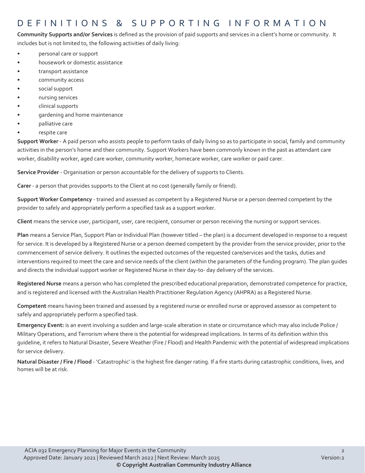#### DEFINITIONS & SUPPORTING INFORMATIO N

**Community Supports and/or Services** is defined as the provision of paid supports and services in a client's home or community. It includes but is not limited to, the following activities of daily living:

- personal care or support
- housework or domestic assistance
- transport assistance
- community access
- social support
- nursing services
- clinical supports
- gardening and home maintenance
- palliative care
- respite care

**Support Worker** - A paid person who assists people to perform tasks of daily living so as to participate in social, family and community activities in the person's home and their community. Support Workers have been commonly known in the past as attendant care worker, disability worker, aged care worker, community worker, homecare worker, care worker or paid carer.

**Service Provider** - Organisation or person accountable for the delivery of supports to Clients.

**Carer** - a person that provides supports to the Client at no cost (generally family or friend).

**Support Worker Competency** - trained and assessed as competent by a Registered Nurse or a person deemed competent by the provider to safely and appropriately perform a specified task as a support worker.

**Client** means the service user, participant, user, care recipient, consumer or person receiving the nursing or support services.

**Plan** means a Service Plan, Support Plan or Individual Plan (however titled – the plan) is a document developed in response to a request for service. It is developed by a Registered Nurse or a person deemed competent by the provider from the service provider, prior to the commencement of service delivery. It outlines the expected outcomes of the requested care/services and the tasks, duties and interventions required to meet the care and service needs of the client (within the parameters of the funding program). The plan guides and directs the individual support worker or Registered Nurse in their day-to- day delivery of the services.

**Registered Nurse** means a person who has completed the prescribed educational preparation, demonstrated competence for practice, and is registered and licensed with the Australian Health Practitioner Regulation Agency (AHPRA) as a Registered Nurse.

**Competent** means having been trained and assessed by a registered nurse or enrolled nurse or approved assessor as competent to safely and appropriately perform a specified task.

**Emergency Event:** is an event involving a sudden and large-scale alteration in state or circumstance which may also include Police / Military Operations, and Terrorism where there is the potential for widespread implications. In terms of its definition within this guideline, it refers to Natural Disaster, Severe Weather (Fire / Flood) and Health Pandemic with the potential of widespread implications for service delivery.

**Natural Disaster / Fire / Flood** - 'Catastrophic' is the highest fire danger rating. If a fire starts during catastrophic conditions, lives, and homes will be at risk.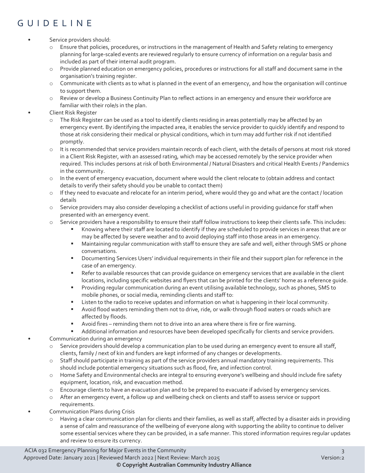# GUIDELINE

#### Service providers should:

- o Ensure that policies, procedures, or instructions in the management of Health and Safety relating to emergency planning for large-scaled events are reviewed regularly to ensure currency of information on a regular basis and included as part of their internal audit program.
- o Provide planned education on emergency policies, procedures or instructions for all staff and document same in the organisation's training register.
- $\circ$  Communicate with clients as to what is planned in the event of an emergency, and how the organisation will continue to support them.
- o Review or develop a Business Continuity Plan to reflect actions in an emergency and ensure their workforce are familiar with their role/s in the plan.
- Client Risk Register
	- o The Risk Register can be used as a tool to identify clients residing in areas potentially may be affected by an emergency event. By identifying the impacted area, it enables the service provider to quickly identify and respond to those at risk considering their medical or physical conditions, which in turn may add further risk if not identified promptly.
	- o It is recommended that service providers maintain records of each client, with the details of persons at most risk stored in a Client Risk Register, with an assessed rating, which may be accessed remotely by the service provider when required. This includes persons at risk of both Environmental / Natural Disasters and critical Health Events / Pandemics in the community.
	- o In the event of emergency evacuation, document where would the client relocate to (obtain address and contact details to verify their safety should you be unable to contact them)
	- o If they need to evacuate and relocate for an interim period, where would they go and what are the contact / location details
	- o Service providers may also consider developing a checklist of actions useful in providing guidance for staff when presented with an emergency event.
	- o Service providers have a responsibility to ensure their staff follow instructions to keep their clients safe. This includes:
		- Knowing where their staff are located to identify if they are scheduled to provide services in areas that are or may be affected by severe weather and to avoid deploying staff into those areas in an emergency.
		- Maintaining regular communication with staff to ensure they are safe and well, either through SMS or phone conversations.
		- Documenting Services Users' individual requirements in their file and their support plan for reference in the case of an emergency.
		- Refer to available resources that can provide guidance on emergency services that are available in the client locations, including specific websites and flyers that can be printed for the clients' home as a reference guide.
		- Providing regular communication during an event utilising available technology, such as phones, SMS to mobile phones, or social media, reminding clients and staff to:
		- Listen to the radio to receive updates and information on what is happening in their local community.
		- Avoid flood waters reminding them not to drive, ride, or walk-through flood waters or roads which are affected by floods.
		- Avoid fires reminding them not to drive into an area where there is fire or fire warning.
	- Additional information and resources have been developed specifically for clients and service providers. • Communication during an emergency
	- o Service providers should develop a communication plan to be used during an emergency event to ensure all staff, clients, family / next of kin and funders are kept informed of any changes or developments.
	- o Staff should participate in training as part of the service providers annual mandatory training requirements. This should include potential emergency situations such as flood, fire, and infection control.
	- o Home Safety and Environmental checks are integral to ensuring everyone's wellbeing and should include fire safety equipment, location, risk, and evacuation method.
	- o Encourage clients to have an evacuation plan and to be prepared to evacuate if advised by emergency services.
	- After an emergency event, a follow up and wellbeing check on clients and staff to assess service or support requirements.
- Communication Plans during Crisis
	- o Having a clear communication plan for clients and their families, as well as staff, affected by a disaster aids in providing a sense of calm and reassurance of the wellbeing of everyone along with supporting the ability to continue to deliver some essential services where they can be provided, in a safe manner. This stored information requires regular updates and review to ensure its currency.